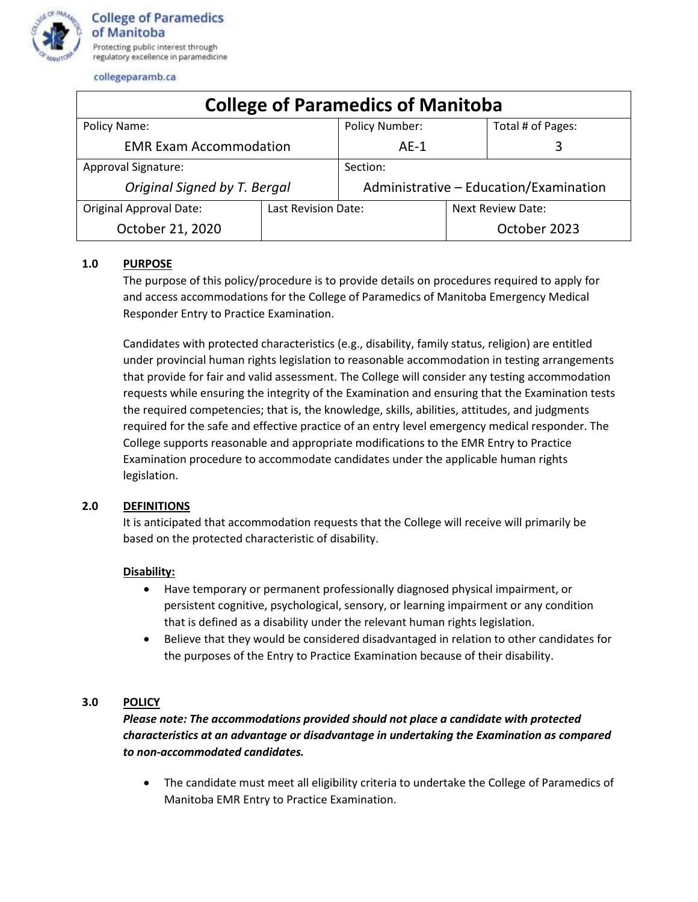

collegeparamb.ca

| <b>College of Paramedics of Manitoba</b> |                     |                                        |                   |                   |
|------------------------------------------|---------------------|----------------------------------------|-------------------|-------------------|
| Policy Name:                             |                     | <b>Policy Number:</b>                  |                   | Total # of Pages: |
| <b>EMR Exam Accommodation</b>            |                     | $AE-1$                                 |                   | 3                 |
| Approval Signature:                      |                     | Section:                               |                   |                   |
| Original Signed by T. Bergal             |                     | Administrative - Education/Examination |                   |                   |
| <b>Original Approval Date:</b>           | Last Revision Date: |                                        | Next Review Date: |                   |
| October 21, 2020                         |                     |                                        |                   | October 2023      |

# **1.0 PURPOSE**

The purpose of this policy/procedure is to provide details on procedures required to apply for and access accommodations for the College of Paramedics of Manitoba Emergency Medical Responder Entry to Practice Examination.

Candidates with protected characteristics (e.g., disability, family status, religion) are entitled under provincial human rights legislation to reasonable accommodation in testing arrangements that provide for fair and valid assessment. The College will consider any testing accommodation requests while ensuring the integrity of the Examination and ensuring that the Examination tests the required competencies; that is, the knowledge, skills, abilities, attitudes, and judgments required for the safe and effective practice of an entry level emergency medical responder. The College supports reasonable and appropriate modifications to the EMR Entry to Practice Examination procedure to accommodate candidates under the applicable human rights legislation.

### **2.0 DEFINITIONS**

It is anticipated that accommodation requests that the College will receive will primarily be based on the protected characteristic of disability.

### **Disability:**

- Have temporary or permanent professionally diagnosed physical impairment, or persistent cognitive, psychological, sensory, or learning impairment or any condition that is defined as a disability under the relevant human rights legislation.
- Believe that they would be considered disadvantaged in relation to other candidates for the purposes of the Entry to Practice Examination because of their disability.

# **3.0 POLICY**

# *Please note: The accommodations provided should not place a candidate with protected characteristics at an advantage or disadvantage in undertaking the Examination as compared to non-accommodated candidates.*

• The candidate must meet all eligibility criteria to undertake the College of Paramedics of Manitoba EMR Entry to Practice Examination.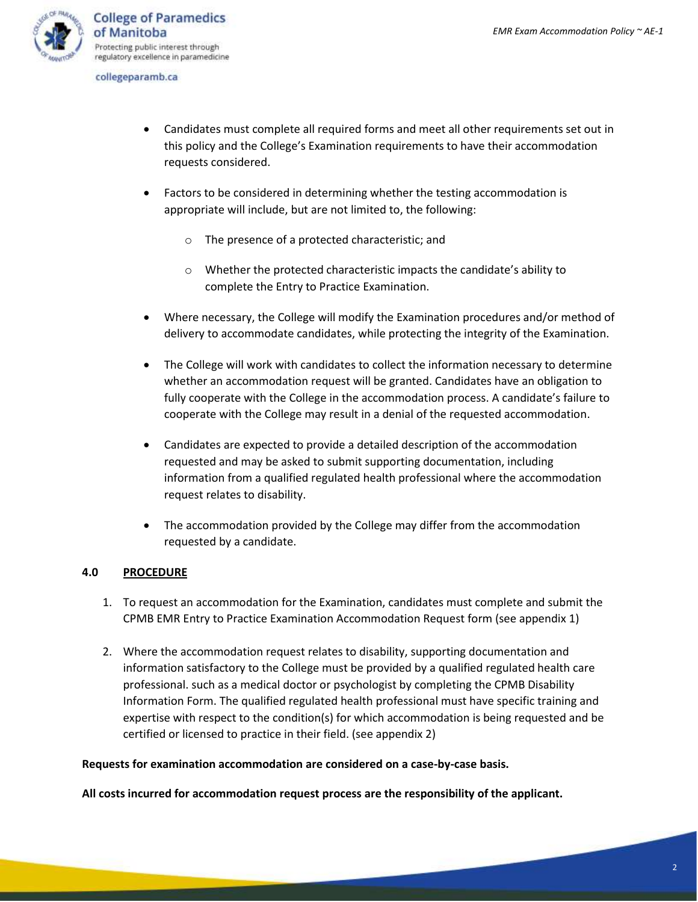

collegeparamb.ca

- Candidates must complete all required forms and meet all other requirements set out in this policy and the College's Examination requirements to have their accommodation requests considered.
- Factors to be considered in determining whether the testing accommodation is appropriate will include, but are not limited to, the following:
	- o The presence of a protected characteristic; and
	- o Whether the protected characteristic impacts the candidate's ability to complete the Entry to Practice Examination.
- Where necessary, the College will modify the Examination procedures and/or method of delivery to accommodate candidates, while protecting the integrity of the Examination.
- The College will work with candidates to collect the information necessary to determine whether an accommodation request will be granted. Candidates have an obligation to fully cooperate with the College in the accommodation process. A candidate's failure to cooperate with the College may result in a denial of the requested accommodation.
- Candidates are expected to provide a detailed description of the accommodation requested and may be asked to submit supporting documentation, including information from a qualified regulated health professional where the accommodation request relates to disability.
- The accommodation provided by the College may differ from the accommodation requested by a candidate.

### **4.0 PROCEDURE**

- 1. To request an accommodation for the Examination, candidates must complete and submit the CPMB EMR Entry to Practice Examination Accommodation Request form (see appendix 1)
- 2. Where the accommodation request relates to disability, supporting documentation and information satisfactory to the College must be provided by a qualified regulated health care professional. such as a medical doctor or psychologist by completing the CPMB Disability Information Form. The qualified regulated health professional must have specific training and expertise with respect to the condition(s) for which accommodation is being requested and be certified or licensed to practice in their field. (see appendix 2)

### **Requests for examination accommodation are considered on a case-by-case basis.**

**All costs incurred for accommodation request process are the responsibility of the applicant.**